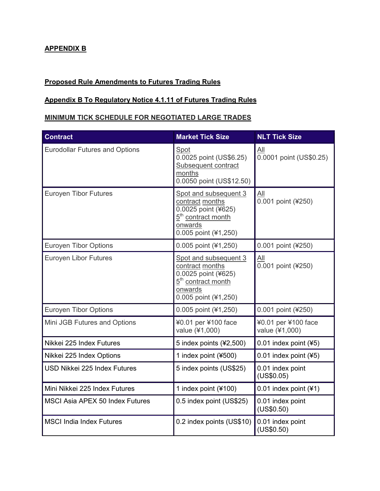## **APPENDIX B**

## **Proposed Rule Amendments to Futures Trading Rules**

## **Appendix B To Regulatory Notice 4.1.11 of Futures Trading Rules**

## **MINIMUM TICK SCHEDULE FOR NEGOTIATED LARGE TRADES**

| <b>Contract</b>                        | <b>Market Tick Size</b>                                                                                                              | <b>NLT Tick Size</b>                         |
|----------------------------------------|--------------------------------------------------------------------------------------------------------------------------------------|----------------------------------------------|
| <b>Eurodollar Futures and Options</b>  | Spot<br>0.0025 point (US\$6.25)<br>Subsequent contract<br>months<br>0.0050 point (US\$12.50)                                         | $\underline{All}$<br>0.0001 point (US\$0.25) |
| <b>Euroyen Tibor Futures</b>           | Spot and subsequent 3<br>contract months<br>0.0025 point (¥625)<br>5 <sup>th</sup> contract month<br>onwards<br>0.005 point (¥1,250) | All<br>0.001 point (¥250)                    |
| <b>Euroyen Tibor Options</b>           | 0.005 point (¥1,250)                                                                                                                 | 0.001 point (¥250)                           |
| Euroyen Libor Futures                  | Spot and subsequent 3<br>contract months<br>0.0025 point (¥625)<br>5 <sup>th</sup> contract month<br>onwards<br>0.005 point (¥1,250) | All<br>0.001 point (¥250)                    |
| <b>Euroyen Tibor Options</b>           | 0.005 point (¥1,250)                                                                                                                 | 0.001 point (¥250)                           |
| Mini JGB Futures and Options           | ¥0.01 per ¥100 face<br>value (¥1,000)                                                                                                | ¥0.01 per ¥100 face<br>value (¥1,000)        |
| Nikkei 225 Index Futures               | 5 index points (¥2,500)                                                                                                              | 0.01 index point (¥5)                        |
| Nikkei 225 Index Options               | 1 index point (¥500)                                                                                                                 | 0.01 index point (¥5)                        |
| USD Nikkei 225 Index Futures           | 5 index points (US\$25)                                                                                                              | 0.01 index point<br>(US\$0.05)               |
| Mini Nikkei 225 Index Futures          | 1 index point (¥100)                                                                                                                 | 0.01 index point (¥1)                        |
| <b>MSCI Asia APEX 50 Index Futures</b> | 0.5 index point (US\$25)                                                                                                             | 0.01 index point<br>(US\$0.50)               |
| <b>MSCI India Index Futures</b>        | 0.2 index points (US\$10)                                                                                                            | 0.01 index point<br>(US\$0.50)               |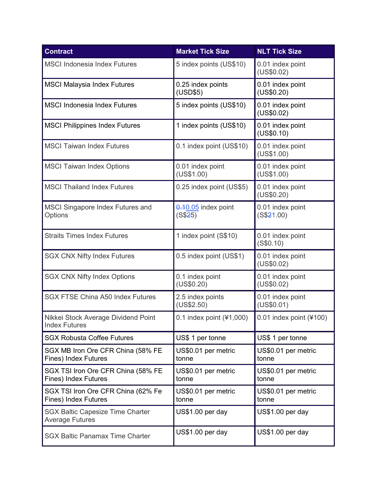| <b>Contract</b>                                                   | <b>Market Tick Size</b>          | <b>NLT Tick Size</b>           |
|-------------------------------------------------------------------|----------------------------------|--------------------------------|
| <b>MSCI Indonesia Index Futures</b>                               | 5 index points (US\$10)          | 0.01 index point<br>(US\$0.02) |
| <b>MSCI Malaysia Index Futures</b>                                | 0.25 index points<br>(USD\$5)    | 0.01 index point<br>(US\$0.20) |
| <b>MSCI Indonesia Index Futures</b>                               | 5 index points (US\$10)          | 0.01 index point<br>(US\$0.02) |
| <b>MSCI Philippines Index Futures</b>                             | 1 index points (US\$10)          | 0.01 index point<br>(US\$0.10) |
| <b>MSCI Taiwan Index Futures</b>                                  | 0.1 index point (US\$10)         | 0.01 index point<br>(US\$1.00) |
| <b>MSCI Taiwan Index Options</b>                                  | 0.01 index point<br>(US\$1.00)   | 0.01 index point<br>(US\$1.00) |
| <b>MSCI Thailand Index Futures</b>                                | 0.25 index point (US\$5)         | 0.01 index point<br>(US\$0.20) |
| MSCI Singapore Index Futures and<br>Options                       | $0.10.05$ index point<br>(S\$25) | 0.01 index point<br>(S\$21.00) |
| <b>Straits Times Index Futures</b>                                | 1 index point (S\$10)            | 0.01 index point<br>(S\$0.10)  |
| <b>SGX CNX Nifty Index Futures</b>                                | 0.5 index point (US\$1)          | 0.01 index point<br>(US\$0.02) |
| <b>SGX CNX Nifty Index Options</b>                                | 0.1 index point<br>(US\$0.20)    | 0.01 index point<br>(US\$0.02) |
| <b>SGX FTSE China A50 Index Futures</b>                           | 2.5 index points<br>(US\$2.50)   | 0.01 index point<br>(US\$0.01) |
| Nikkei Stock Average Dividend Point<br><b>Index Futures</b>       | 0.1 index point $(\yen 1,000)$   | 0.01 index point $(*100)$      |
| <b>SGX Robusta Coffee Futures</b>                                 | US\$ 1 per tonne                 | US\$ 1 per tonne               |
| SGX MB Iron Ore CFR China (58% FE<br><b>Fines) Index Futures</b>  | US\$0.01 per metric<br>tonne     | US\$0.01 per metric<br>tonne   |
| SGX TSI Iron Ore CFR China (58% FE<br>Fines) Index Futures        | US\$0.01 per metric<br>tonne     | US\$0.01 per metric<br>tonne   |
| SGX TSI Iron Ore CFR China (62% Fe<br><b>Fines) Index Futures</b> | US\$0.01 per metric<br>tonne     | US\$0.01 per metric<br>tonne   |
| <b>SGX Baltic Capesize Time Charter</b><br><b>Average Futures</b> | US\$1.00 per day                 | US\$1.00 per day               |
| <b>SGX Baltic Panamax Time Charter</b>                            | US\$1.00 per day                 | US\$1.00 per day               |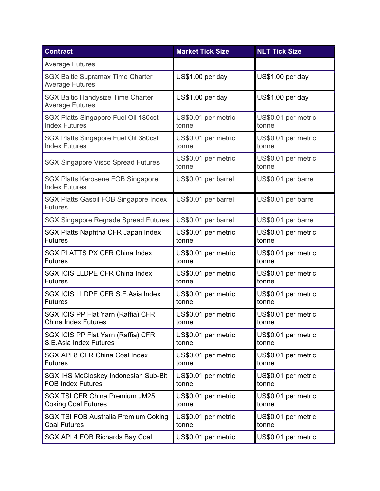| <b>Contract</b>                                                    | <b>Market Tick Size</b>      | <b>NLT Tick Size</b>         |
|--------------------------------------------------------------------|------------------------------|------------------------------|
| <b>Average Futures</b>                                             |                              |                              |
| <b>SGX Baltic Supramax Time Charter</b><br><b>Average Futures</b>  | US\$1.00 per day             | US\$1.00 per day             |
| <b>SGX Baltic Handysize Time Charter</b><br><b>Average Futures</b> | US\$1.00 per day             | US\$1.00 per day             |
| SGX Platts Singapore Fuel Oil 180cst                               | US\$0.01 per metric          | US\$0.01 per metric          |
| <b>Index Futures</b>                                               | tonne                        | tonne                        |
| SGX Platts Singapore Fuel Oil 380cst                               | US\$0.01 per metric          | US\$0.01 per metric          |
| <b>Index Futures</b>                                               | tonne                        | tonne                        |
| <b>SGX Singapore Visco Spread Futures</b>                          | US\$0.01 per metric<br>tonne | US\$0.01 per metric<br>tonne |
| <b>SGX Platts Kerosene FOB Singapore</b><br><b>Index Futures</b>   | US\$0.01 per barrel          | US\$0.01 per barrel          |
| SGX Platts Gasoil FOB Singapore Index<br><b>Futures</b>            | US\$0.01 per barrel          | US\$0.01 per barrel          |
| <b>SGX Singapore Regrade Spread Futures</b>                        | US\$0.01 per barrel          | US\$0.01 per barrel          |
| SGX Platts Naphtha CFR Japan Index                                 | US\$0.01 per metric          | US\$0.01 per metric          |
| <b>Futures</b>                                                     | tonne                        | tonne                        |
| <b>SGX PLATTS PX CFR China Index</b>                               | US\$0.01 per metric          | US\$0.01 per metric          |
| <b>Futures</b>                                                     | tonne                        | tonne                        |
| SGX ICIS LLDPE CFR China Index                                     | US\$0.01 per metric          | US\$0.01 per metric          |
| <b>Futures</b>                                                     | tonne                        | tonne                        |
| SGX ICIS LLDPE CFR S.E.Asia Index                                  | US\$0.01 per metric          | US\$0.01 per metric          |
| <b>Futures</b>                                                     | tonne                        | tonne                        |
| SGX ICIS PP Flat Yarn (Raffia) CFR                                 | US\$0.01 per metric          | US\$0.01 per metric          |
| <b>China Index Futures</b>                                         | tonne                        | tonne                        |
| SGX ICIS PP Flat Yarn (Raffia) CFR                                 | US\$0.01 per metric          | US\$0.01 per metric          |
| S.E.Asia Index Futures                                             | tonne                        | tonne                        |
| SGX API 8 CFR China Coal Index                                     | US\$0.01 per metric          | US\$0.01 per metric          |
| <b>Futures</b>                                                     | tonne                        | tonne                        |
| SGX IHS McCloskey Indonesian Sub-Bit                               | US\$0.01 per metric          | US\$0.01 per metric          |
| <b>FOB Index Futures</b>                                           | tonne                        | tonne                        |
| <b>SGX TSI CFR China Premium JM25</b>                              | US\$0.01 per metric          | US\$0.01 per metric          |
| <b>Coking Coal Futures</b>                                         | tonne                        | tonne                        |
| SGX TSI FOB Australia Premium Coking                               | US\$0.01 per metric          | US\$0.01 per metric          |
| <b>Coal Futures</b>                                                | tonne                        | tonne                        |
| SGX API 4 FOB Richards Bay Coal                                    | US\$0.01 per metric          | US\$0.01 per metric          |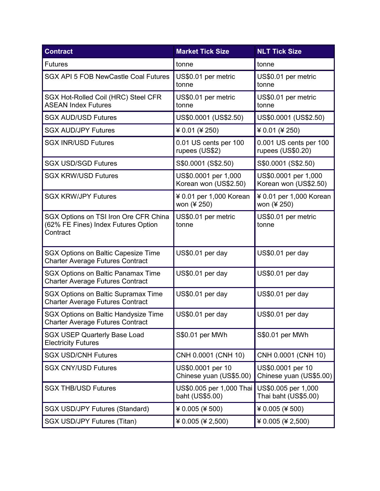| <b>Contract</b>                                                                          | <b>Market Tick Size</b>                       | <b>NLT Tick Size</b>                          |
|------------------------------------------------------------------------------------------|-----------------------------------------------|-----------------------------------------------|
| <b>Futures</b>                                                                           | tonne                                         | tonne                                         |
| <b>SGX API 5 FOB NewCastle Coal Futures</b>                                              | US\$0.01 per metric<br>tonne                  | US\$0.01 per metric<br>tonne                  |
| SGX Hot-Rolled Coil (HRC) Steel CFR<br><b>ASEAN Index Futures</b>                        | US\$0.01 per metric<br>tonne                  | US\$0.01 per metric<br>tonne                  |
| <b>SGX AUD/USD Futures</b>                                                               | US\$0.0001 (US\$2.50)                         | US\$0.0001 (US\$2.50)                         |
| <b>SGX AUD/JPY Futures</b>                                                               | ¥ 0.01 (¥ 250)                                | ¥ 0.01 (¥ 250)                                |
| <b>SGX INR/USD Futures</b>                                                               | 0.01 US cents per 100<br>rupees (US\$2)       | 0.001 US cents per 100<br>rupees (US\$0.20)   |
| <b>SGX USD/SGD Futures</b>                                                               | S\$0.0001 (S\$2.50)                           | S\$0.0001 (S\$2.50)                           |
| <b>SGX KRW/USD Futures</b>                                                               | US\$0.0001 per 1,000<br>Korean won (US\$2.50) | US\$0.0001 per 1,000<br>Korean won (US\$2.50) |
| <b>SGX KRW/JPY Futures</b>                                                               | ¥ 0.01 per 1,000 Korean<br>won (¥ 250)        | ¥ 0.01 per 1,000 Korean<br>won (¥ 250)        |
| SGX Options on TSI Iron Ore CFR China<br>(62% FE Fines) Index Futures Option<br>Contract | US\$0.01 per metric<br>tonne                  | US\$0.01 per metric<br>tonne                  |
| <b>SGX Options on Baltic Capesize Time</b><br><b>Charter Average Futures Contract</b>    | US\$0.01 per day                              | US\$0.01 per day                              |
| <b>SGX Options on Baltic Panamax Time</b><br><b>Charter Average Futures Contract</b>     | US\$0.01 per day                              | US\$0.01 per day                              |
| <b>SGX Options on Baltic Supramax Time</b><br><b>Charter Average Futures Contract</b>    | US\$0.01 per day                              | US\$0.01 per day                              |
| SGX Options on Baltic Handysize Time<br><b>Charter Average Futures Contract</b>          | US\$0.01 per day                              | US\$0.01 per day                              |
| <b>SGX USEP Quarterly Base Load</b><br><b>Electricity Futures</b>                        | S\$0.01 per MWh                               | S\$0.01 per MWh                               |
| <b>SGX USD/CNH Futures</b>                                                               | CNH 0.0001 (CNH 10)                           | CNH 0.0001 (CNH 10)                           |
| <b>SGX CNY/USD Futures</b>                                                               | US\$0.0001 per 10<br>Chinese yuan (US\$5.00)  | US\$0.0001 per 10<br>Chinese yuan (US\$5.00)  |
| <b>SGX THB/USD Futures</b>                                                               | US\$0.005 per 1,000 Thai<br>baht (US\$5.00)   | US\$0.005 per 1,000<br>Thai baht (US\$5.00)   |
| <b>SGX USD/JPY Futures (Standard)</b>                                                    | $40.005$ (¥ 500)                              | ¥ 0.005 (¥ 500)                               |
| SGX USD/JPY Futures (Titan)                                                              | ¥ 0.005 (¥ 2,500)                             | ¥ 0.005 (¥ 2,500)                             |